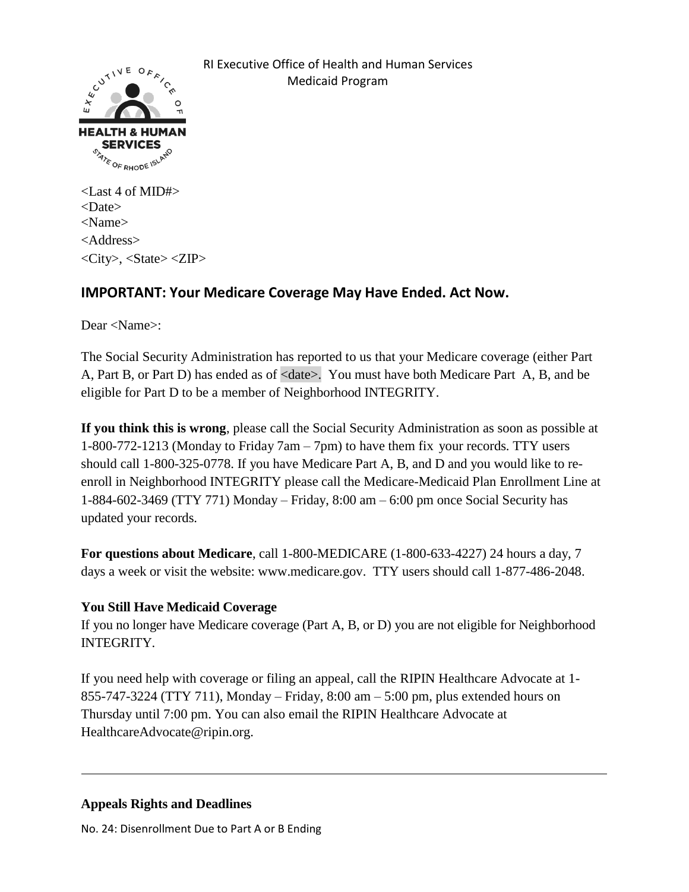

 RI Executive Office of Health and Human Services Medicaid Program

<Last 4 of MID#> <Date> <Name> <Address> <City>, <State> <ZIP>

## **IMPORTANT: Your Medicare Coverage May Have Ended. Act Now.**

Dear <Name>:

The Social Security Administration has reported to us that your Medicare coverage (either Part A, Part B, or Part D) has ended as of <date>. You must have both Medicare Part A, B, and be eligible for Part D to be a member of Neighborhood INTEGRITY.

**If you think this is wrong**, please call the Social Security Administration as soon as possible at 1-800-772-1213 (Monday to Friday 7am – 7pm) to have them fix your records. TTY users should call 1-800-325-0778. If you have Medicare Part A, B, and D and you would like to reenroll in Neighborhood INTEGRITY please call the Medicare-Medicaid Plan Enrollment Line at 1-884-602-3469 (TTY 771) Monday – Friday, 8:00 am – 6:00 pm once Social Security has updated your records.

**For questions about Medicare**, call 1-800-MEDICARE (1-800-633-4227) 24 hours a day, 7 days a week or visit the website: www.medicare.gov. TTY users should call 1-877-486-2048.

## **You Still Have Medicaid Coverage**

If you no longer have Medicare coverage (Part A, B, or D) you are not eligible for Neighborhood INTEGRITY.

If you need help with coverage or filing an appeal, call the RIPIN Healthcare Advocate at 1- 855-747-3224 (TTY 711), Monday – Friday, 8:00 am – 5:00 pm, plus extended hours on Thursday until 7:00 pm. You can also email the RIPIN Healthcare Advocate at HealthcareAdvocate@ripin.org.

## **Appeals Rights and Deadlines**

No. 24: Disenrollment Due to Part A or B Ending